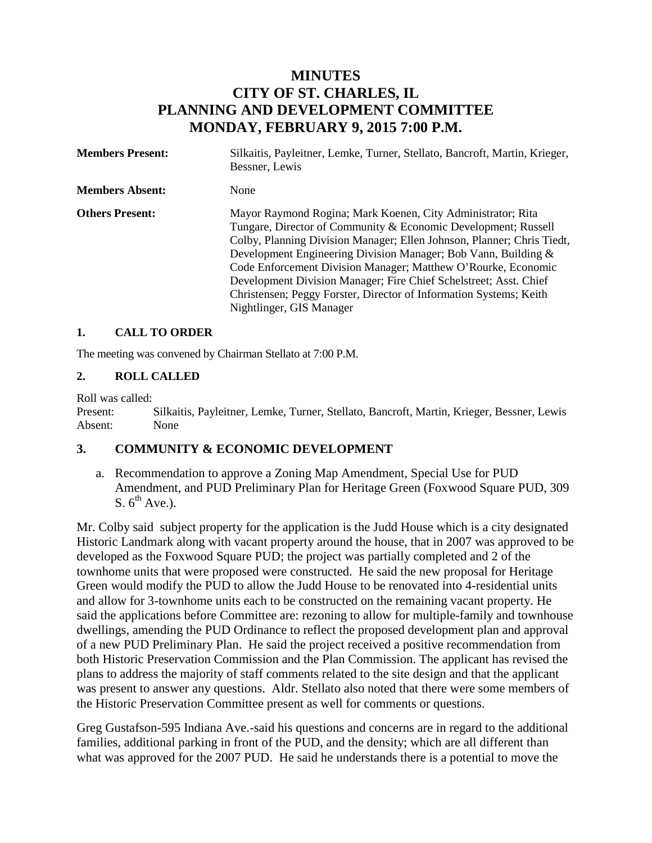# **MINUTES CITY OF ST. CHARLES, IL PLANNING AND DEVELOPMENT COMMITTEE MONDAY, FEBRUARY 9, 2015 7:00 P.M.**

| <b>Members Present:</b> | Silkaitis, Payleitner, Lemke, Turner, Stellato, Bancroft, Martin, Krieger,<br>Bessner, Lewis                                                                                                                                                                                                                                                                                                                                                                                                                      |
|-------------------------|-------------------------------------------------------------------------------------------------------------------------------------------------------------------------------------------------------------------------------------------------------------------------------------------------------------------------------------------------------------------------------------------------------------------------------------------------------------------------------------------------------------------|
| <b>Members Absent:</b>  | None                                                                                                                                                                                                                                                                                                                                                                                                                                                                                                              |
| <b>Others Present:</b>  | Mayor Raymond Rogina; Mark Koenen, City Administrator; Rita<br>Tungare, Director of Community & Economic Development; Russell<br>Colby, Planning Division Manager; Ellen Johnson, Planner; Chris Tiedt,<br>Development Engineering Division Manager; Bob Vann, Building &<br>Code Enforcement Division Manager; Matthew O'Rourke, Economic<br>Development Division Manager; Fire Chief Schelstreet; Asst. Chief<br>Christensen; Peggy Forster, Director of Information Systems; Keith<br>Nightlinger, GIS Manager |

#### **1. CALL TO ORDER**

The meeting was convened by Chairman Stellato at 7:00 P.M.

#### **2. ROLL CALLED**

Roll was called:

Present: Silkaitis, Payleitner, Lemke, Turner, Stellato, Bancroft, Martin, Krieger, Bessner, Lewis Absent: None

#### **3. COMMUNITY & ECONOMIC DEVELOPMENT**

a. Recommendation to approve a Zoning Map Amendment, Special Use for PUD Amendment, and PUD Preliminary Plan for Heritage Green (Foxwood Square PUD, 309 S.  $6^{th}$  Ave.).

Mr. Colby said subject property for the application is the Judd House which is a city designated Historic Landmark along with vacant property around the house, that in 2007 was approved to be developed as the Foxwood Square PUD; the project was partially completed and 2 of the townhome units that were proposed were constructed. He said the new proposal for Heritage Green would modify the PUD to allow the Judd House to be renovated into 4-residential units and allow for 3-townhome units each to be constructed on the remaining vacant property. He said the applications before Committee are: rezoning to allow for multiple-family and townhouse dwellings, amending the PUD Ordinance to reflect the proposed development plan and approval of a new PUD Preliminary Plan. He said the project received a positive recommendation from both Historic Preservation Commission and the Plan Commission. The applicant has revised the plans to address the majority of staff comments related to the site design and that the applicant was present to answer any questions. Aldr. Stellato also noted that there were some members of the Historic Preservation Committee present as well for comments or questions.

Greg Gustafson-595 Indiana Ave.-said his questions and concerns are in regard to the additional families, additional parking in front of the PUD, and the density; which are all different than what was approved for the 2007 PUD. He said he understands there is a potential to move the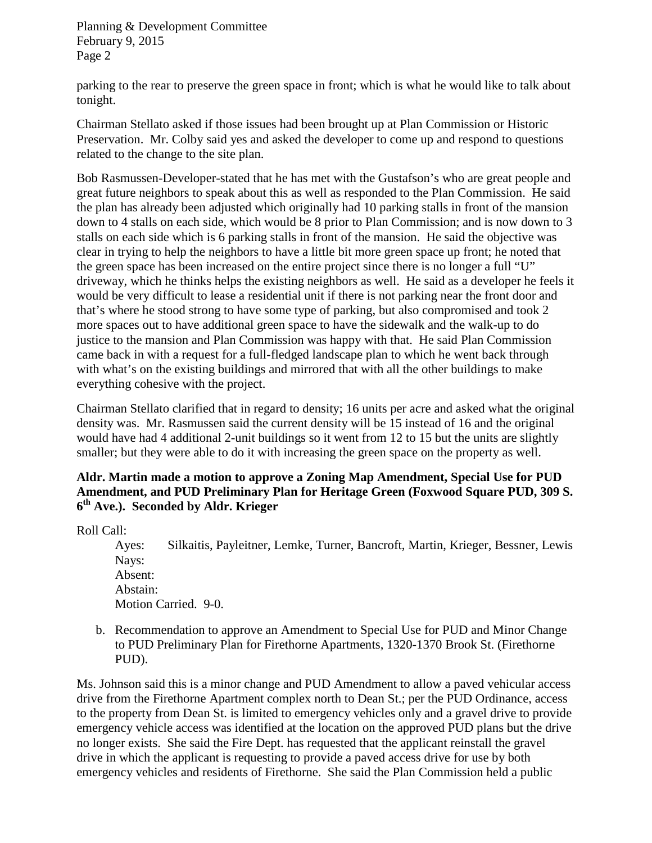parking to the rear to preserve the green space in front; which is what he would like to talk about tonight.

Chairman Stellato asked if those issues had been brought up at Plan Commission or Historic Preservation. Mr. Colby said yes and asked the developer to come up and respond to questions related to the change to the site plan.

Bob Rasmussen-Developer-stated that he has met with the Gustafson's who are great people and great future neighbors to speak about this as well as responded to the Plan Commission. He said the plan has already been adjusted which originally had 10 parking stalls in front of the mansion down to 4 stalls on each side, which would be 8 prior to Plan Commission; and is now down to 3 stalls on each side which is 6 parking stalls in front of the mansion. He said the objective was clear in trying to help the neighbors to have a little bit more green space up front; he noted that the green space has been increased on the entire project since there is no longer a full "U" driveway, which he thinks helps the existing neighbors as well. He said as a developer he feels it would be very difficult to lease a residential unit if there is not parking near the front door and that's where he stood strong to have some type of parking, but also compromised and took 2 more spaces out to have additional green space to have the sidewalk and the walk-up to do justice to the mansion and Plan Commission was happy with that. He said Plan Commission came back in with a request for a full-fledged landscape plan to which he went back through with what's on the existing buildings and mirrored that with all the other buildings to make everything cohesive with the project.

Chairman Stellato clarified that in regard to density; 16 units per acre and asked what the original density was. Mr. Rasmussen said the current density will be 15 instead of 16 and the original would have had 4 additional 2-unit buildings so it went from 12 to 15 but the units are slightly smaller; but they were able to do it with increasing the green space on the property as well.

### **Aldr. Martin made a motion to approve a Zoning Map Amendment, Special Use for PUD Amendment, and PUD Preliminary Plan for Heritage Green (Foxwood Square PUD, 309 S. 6th Ave.). Seconded by Aldr. Krieger**

Roll Call:

Ayes: Silkaitis, Payleitner, Lemke, Turner, Bancroft, Martin, Krieger, Bessner, Lewis Nays: Absent: Abstain: Motion Carried. 9-0.

b. Recommendation to approve an Amendment to Special Use for PUD and Minor Change to PUD Preliminary Plan for Firethorne Apartments, 1320-1370 Brook St. (Firethorne PUD).

Ms. Johnson said this is a minor change and PUD Amendment to allow a paved vehicular access drive from the Firethorne Apartment complex north to Dean St.; per the PUD Ordinance, access to the property from Dean St. is limited to emergency vehicles only and a gravel drive to provide emergency vehicle access was identified at the location on the approved PUD plans but the drive no longer exists. She said the Fire Dept. has requested that the applicant reinstall the gravel drive in which the applicant is requesting to provide a paved access drive for use by both emergency vehicles and residents of Firethorne. She said the Plan Commission held a public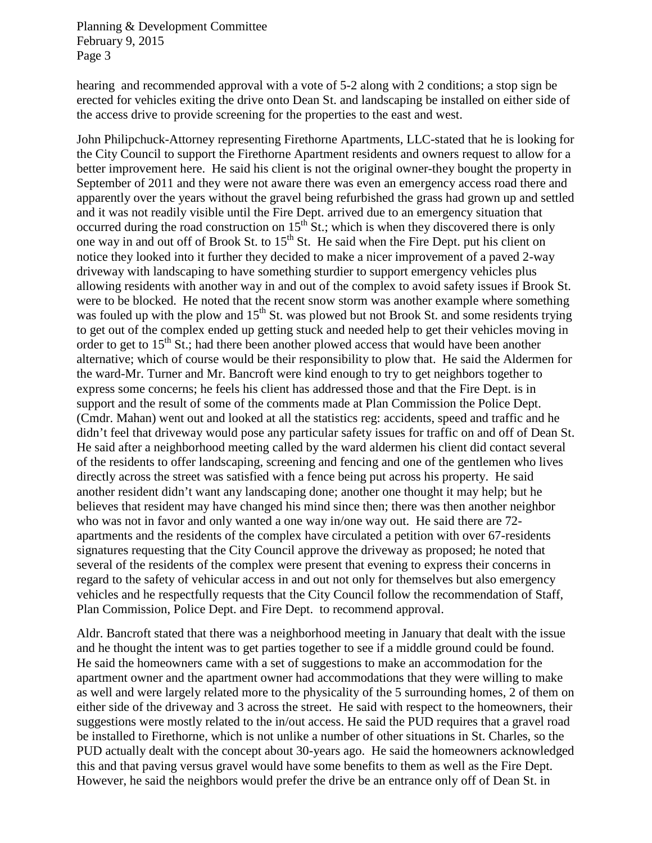hearing and recommended approval with a vote of 5-2 along with 2 conditions; a stop sign be erected for vehicles exiting the drive onto Dean St. and landscaping be installed on either side of the access drive to provide screening for the properties to the east and west.

John Philipchuck-Attorney representing Firethorne Apartments, LLC-stated that he is looking for the City Council to support the Firethorne Apartment residents and owners request to allow for a better improvement here. He said his client is not the original owner-they bought the property in September of 2011 and they were not aware there was even an emergency access road there and apparently over the years without the gravel being refurbished the grass had grown up and settled and it was not readily visible until the Fire Dept. arrived due to an emergency situation that occurred during the road construction on  $15<sup>th</sup>$  St.; which is when they discovered there is only one way in and out off of Brook St. to  $15<sup>th</sup>$  St. He said when the Fire Dept. put his client on notice they looked into it further they decided to make a nicer improvement of a paved 2-way driveway with landscaping to have something sturdier to support emergency vehicles plus allowing residents with another way in and out of the complex to avoid safety issues if Brook St. were to be blocked. He noted that the recent snow storm was another example where something was fouled up with the plow and 15<sup>th</sup> St. was plowed but not Brook St. and some residents trying to get out of the complex ended up getting stuck and needed help to get their vehicles moving in order to get to  $15<sup>th</sup>$  St.; had there been another plowed access that would have been another alternative; which of course would be their responsibility to plow that. He said the Aldermen for the ward-Mr. Turner and Mr. Bancroft were kind enough to try to get neighbors together to express some concerns; he feels his client has addressed those and that the Fire Dept. is in support and the result of some of the comments made at Plan Commission the Police Dept. (Cmdr. Mahan) went out and looked at all the statistics reg: accidents, speed and traffic and he didn't feel that driveway would pose any particular safety issues for traffic on and off of Dean St. He said after a neighborhood meeting called by the ward aldermen his client did contact several of the residents to offer landscaping, screening and fencing and one of the gentlemen who lives directly across the street was satisfied with a fence being put across his property. He said another resident didn't want any landscaping done; another one thought it may help; but he believes that resident may have changed his mind since then; there was then another neighbor who was not in favor and only wanted a one way in/one way out. He said there are 72 apartments and the residents of the complex have circulated a petition with over 67-residents signatures requesting that the City Council approve the driveway as proposed; he noted that several of the residents of the complex were present that evening to express their concerns in regard to the safety of vehicular access in and out not only for themselves but also emergency vehicles and he respectfully requests that the City Council follow the recommendation of Staff, Plan Commission, Police Dept. and Fire Dept. to recommend approval.

Aldr. Bancroft stated that there was a neighborhood meeting in January that dealt with the issue and he thought the intent was to get parties together to see if a middle ground could be found. He said the homeowners came with a set of suggestions to make an accommodation for the apartment owner and the apartment owner had accommodations that they were willing to make as well and were largely related more to the physicality of the 5 surrounding homes, 2 of them on either side of the driveway and 3 across the street. He said with respect to the homeowners, their suggestions were mostly related to the in/out access. He said the PUD requires that a gravel road be installed to Firethorne, which is not unlike a number of other situations in St. Charles, so the PUD actually dealt with the concept about 30-years ago. He said the homeowners acknowledged this and that paving versus gravel would have some benefits to them as well as the Fire Dept. However, he said the neighbors would prefer the drive be an entrance only off of Dean St. in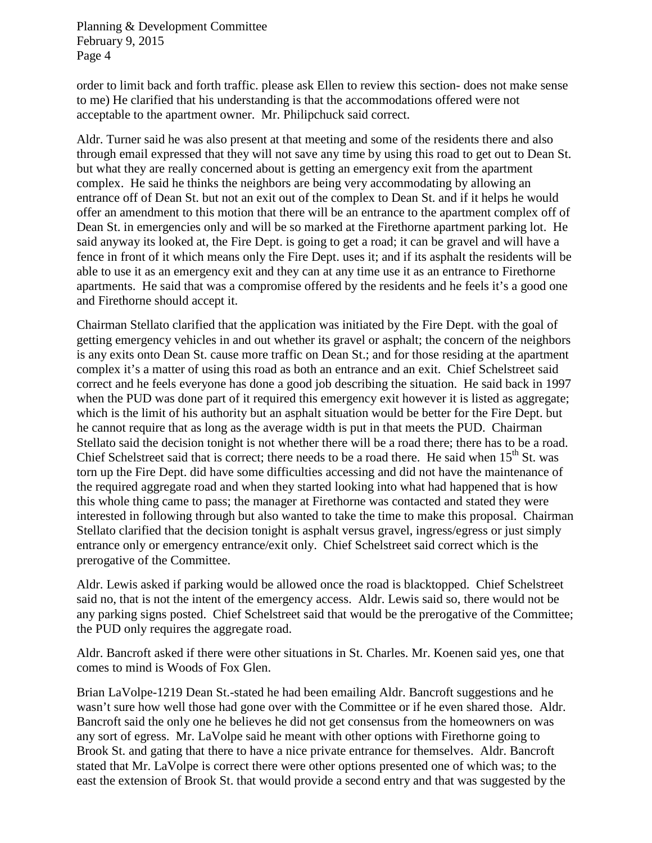order to limit back and forth traffic. please ask Ellen to review this section- does not make sense to me) He clarified that his understanding is that the accommodations offered were not acceptable to the apartment owner. Mr. Philipchuck said correct.

Aldr. Turner said he was also present at that meeting and some of the residents there and also through email expressed that they will not save any time by using this road to get out to Dean St. but what they are really concerned about is getting an emergency exit from the apartment complex. He said he thinks the neighbors are being very accommodating by allowing an entrance off of Dean St. but not an exit out of the complex to Dean St. and if it helps he would offer an amendment to this motion that there will be an entrance to the apartment complex off of Dean St. in emergencies only and will be so marked at the Firethorne apartment parking lot. He said anyway its looked at, the Fire Dept. is going to get a road; it can be gravel and will have a fence in front of it which means only the Fire Dept. uses it; and if its asphalt the residents will be able to use it as an emergency exit and they can at any time use it as an entrance to Firethorne apartments. He said that was a compromise offered by the residents and he feels it's a good one and Firethorne should accept it.

Chairman Stellato clarified that the application was initiated by the Fire Dept. with the goal of getting emergency vehicles in and out whether its gravel or asphalt; the concern of the neighbors is any exits onto Dean St. cause more traffic on Dean St.; and for those residing at the apartment complex it's a matter of using this road as both an entrance and an exit. Chief Schelstreet said correct and he feels everyone has done a good job describing the situation. He said back in 1997 when the PUD was done part of it required this emergency exit however it is listed as aggregate; which is the limit of his authority but an asphalt situation would be better for the Fire Dept. but he cannot require that as long as the average width is put in that meets the PUD. Chairman Stellato said the decision tonight is not whether there will be a road there; there has to be a road. Chief Schelstreet said that is correct; there needs to be a road there. He said when  $15<sup>th</sup>$  St. was torn up the Fire Dept. did have some difficulties accessing and did not have the maintenance of the required aggregate road and when they started looking into what had happened that is how this whole thing came to pass; the manager at Firethorne was contacted and stated they were interested in following through but also wanted to take the time to make this proposal. Chairman Stellato clarified that the decision tonight is asphalt versus gravel, ingress/egress or just simply entrance only or emergency entrance/exit only. Chief Schelstreet said correct which is the prerogative of the Committee.

Aldr. Lewis asked if parking would be allowed once the road is blacktopped. Chief Schelstreet said no, that is not the intent of the emergency access. Aldr. Lewis said so, there would not be any parking signs posted. Chief Schelstreet said that would be the prerogative of the Committee; the PUD only requires the aggregate road.

Aldr. Bancroft asked if there were other situations in St. Charles. Mr. Koenen said yes, one that comes to mind is Woods of Fox Glen.

Brian LaVolpe-1219 Dean St.-stated he had been emailing Aldr. Bancroft suggestions and he wasn't sure how well those had gone over with the Committee or if he even shared those. Aldr. Bancroft said the only one he believes he did not get consensus from the homeowners on was any sort of egress. Mr. LaVolpe said he meant with other options with Firethorne going to Brook St. and gating that there to have a nice private entrance for themselves. Aldr. Bancroft stated that Mr. LaVolpe is correct there were other options presented one of which was; to the east the extension of Brook St. that would provide a second entry and that was suggested by the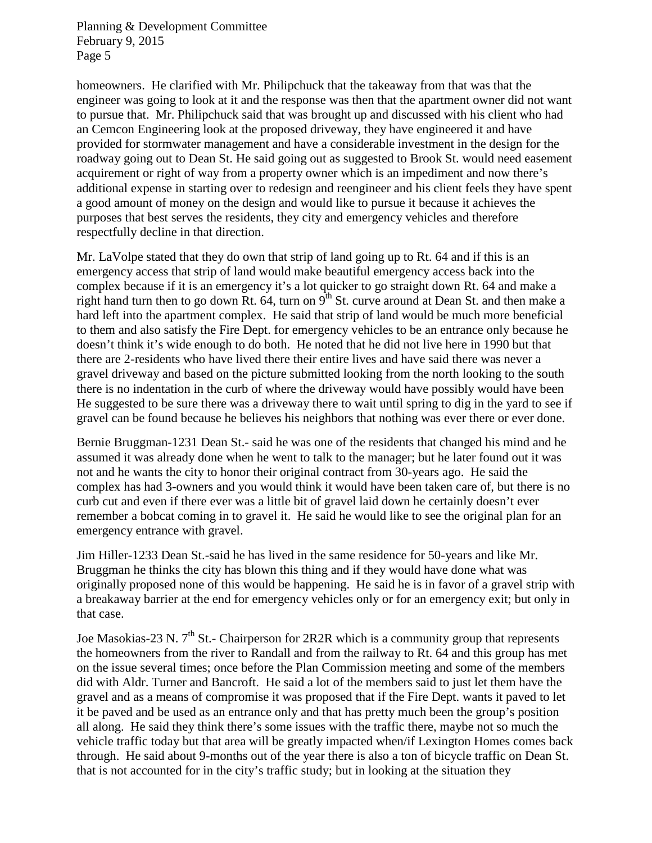homeowners. He clarified with Mr. Philipchuck that the takeaway from that was that the engineer was going to look at it and the response was then that the apartment owner did not want to pursue that. Mr. Philipchuck said that was brought up and discussed with his client who had an Cemcon Engineering look at the proposed driveway, they have engineered it and have provided for stormwater management and have a considerable investment in the design for the roadway going out to Dean St. He said going out as suggested to Brook St. would need easement acquirement or right of way from a property owner which is an impediment and now there's additional expense in starting over to redesign and reengineer and his client feels they have spent a good amount of money on the design and would like to pursue it because it achieves the purposes that best serves the residents, they city and emergency vehicles and therefore respectfully decline in that direction.

Mr. LaVolpe stated that they do own that strip of land going up to Rt. 64 and if this is an emergency access that strip of land would make beautiful emergency access back into the complex because if it is an emergency it's a lot quicker to go straight down Rt. 64 and make a right hand turn then to go down Rt. 64, turn on  $9^{th}$  St. curve around at Dean St. and then make a hard left into the apartment complex. He said that strip of land would be much more beneficial to them and also satisfy the Fire Dept. for emergency vehicles to be an entrance only because he doesn't think it's wide enough to do both. He noted that he did not live here in 1990 but that there are 2-residents who have lived there their entire lives and have said there was never a gravel driveway and based on the picture submitted looking from the north looking to the south there is no indentation in the curb of where the driveway would have possibly would have been He suggested to be sure there was a driveway there to wait until spring to dig in the yard to see if gravel can be found because he believes his neighbors that nothing was ever there or ever done.

Bernie Bruggman-1231 Dean St.- said he was one of the residents that changed his mind and he assumed it was already done when he went to talk to the manager; but he later found out it was not and he wants the city to honor their original contract from 30-years ago. He said the complex has had 3-owners and you would think it would have been taken care of, but there is no curb cut and even if there ever was a little bit of gravel laid down he certainly doesn't ever remember a bobcat coming in to gravel it. He said he would like to see the original plan for an emergency entrance with gravel.

Jim Hiller-1233 Dean St.-said he has lived in the same residence for 50-years and like Mr. Bruggman he thinks the city has blown this thing and if they would have done what was originally proposed none of this would be happening. He said he is in favor of a gravel strip with a breakaway barrier at the end for emergency vehicles only or for an emergency exit; but only in that case.

Joe Masokias-23 N.  $7<sup>th</sup>$  St.- Chairperson for 2R2R which is a community group that represents the homeowners from the river to Randall and from the railway to Rt. 64 and this group has met on the issue several times; once before the Plan Commission meeting and some of the members did with Aldr. Turner and Bancroft. He said a lot of the members said to just let them have the gravel and as a means of compromise it was proposed that if the Fire Dept. wants it paved to let it be paved and be used as an entrance only and that has pretty much been the group's position all along. He said they think there's some issues with the traffic there, maybe not so much the vehicle traffic today but that area will be greatly impacted when/if Lexington Homes comes back through. He said about 9-months out of the year there is also a ton of bicycle traffic on Dean St. that is not accounted for in the city's traffic study; but in looking at the situation they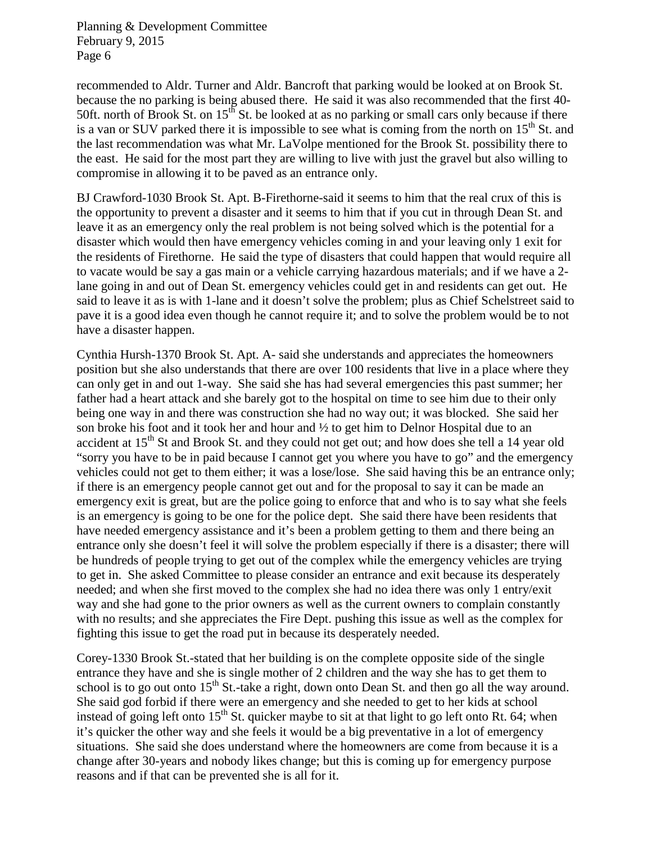recommended to Aldr. Turner and Aldr. Bancroft that parking would be looked at on Brook St. because the no parking is being abused there. He said it was also recommended that the first 40- 50ft. north of Brook St. on  $15^{th}$  St. be looked at as no parking or small cars only because if there is a van or SUV parked there it is impossible to see what is coming from the north on  $15<sup>th</sup>$  St. and the last recommendation was what Mr. LaVolpe mentioned for the Brook St. possibility there to the east. He said for the most part they are willing to live with just the gravel but also willing to compromise in allowing it to be paved as an entrance only.

BJ Crawford-1030 Brook St. Apt. B-Firethorne-said it seems to him that the real crux of this is the opportunity to prevent a disaster and it seems to him that if you cut in through Dean St. and leave it as an emergency only the real problem is not being solved which is the potential for a disaster which would then have emergency vehicles coming in and your leaving only 1 exit for the residents of Firethorne. He said the type of disasters that could happen that would require all to vacate would be say a gas main or a vehicle carrying hazardous materials; and if we have a 2 lane going in and out of Dean St. emergency vehicles could get in and residents can get out. He said to leave it as is with 1-lane and it doesn't solve the problem; plus as Chief Schelstreet said to pave it is a good idea even though he cannot require it; and to solve the problem would be to not have a disaster happen.

Cynthia Hursh-1370 Brook St. Apt. A- said she understands and appreciates the homeowners position but she also understands that there are over 100 residents that live in a place where they can only get in and out 1-way. She said she has had several emergencies this past summer; her father had a heart attack and she barely got to the hospital on time to see him due to their only being one way in and there was construction she had no way out; it was blocked. She said her son broke his foot and it took her and hour and ½ to get him to Delnor Hospital due to an accident at 15<sup>th</sup> St and Brook St. and they could not get out; and how does she tell a 14 year old "sorry you have to be in paid because I cannot get you where you have to go" and the emergency vehicles could not get to them either; it was a lose/lose. She said having this be an entrance only; if there is an emergency people cannot get out and for the proposal to say it can be made an emergency exit is great, but are the police going to enforce that and who is to say what she feels is an emergency is going to be one for the police dept. She said there have been residents that have needed emergency assistance and it's been a problem getting to them and there being an entrance only she doesn't feel it will solve the problem especially if there is a disaster; there will be hundreds of people trying to get out of the complex while the emergency vehicles are trying to get in. She asked Committee to please consider an entrance and exit because its desperately needed; and when she first moved to the complex she had no idea there was only 1 entry/exit way and she had gone to the prior owners as well as the current owners to complain constantly with no results; and she appreciates the Fire Dept. pushing this issue as well as the complex for fighting this issue to get the road put in because its desperately needed.

Corey-1330 Brook St.-stated that her building is on the complete opposite side of the single entrance they have and she is single mother of 2 children and the way she has to get them to school is to go out onto  $15<sup>th</sup>$  St.-take a right, down onto Dean St. and then go all the way around. She said god forbid if there were an emergency and she needed to get to her kids at school instead of going left onto  $15<sup>th</sup>$  St. quicker maybe to sit at that light to go left onto Rt. 64; when it's quicker the other way and she feels it would be a big preventative in a lot of emergency situations. She said she does understand where the homeowners are come from because it is a change after 30-years and nobody likes change; but this is coming up for emergency purpose reasons and if that can be prevented she is all for it.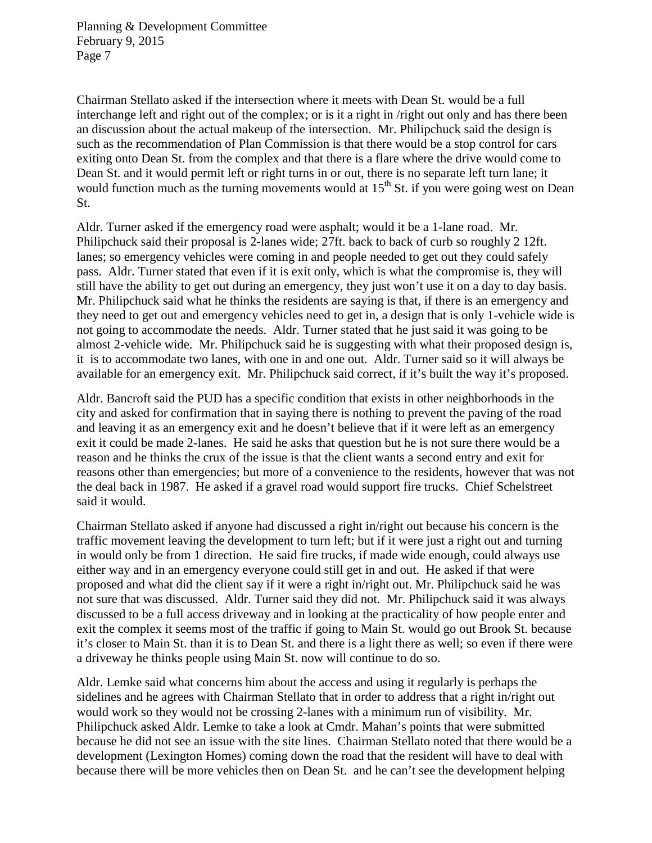Chairman Stellato asked if the intersection where it meets with Dean St. would be a full interchange left and right out of the complex; or is it a right in /right out only and has there been an discussion about the actual makeup of the intersection. Mr. Philipchuck said the design is such as the recommendation of Plan Commission is that there would be a stop control for cars exiting onto Dean St. from the complex and that there is a flare where the drive would come to Dean St. and it would permit left or right turns in or out, there is no separate left turn lane; it would function much as the turning movements would at  $15<sup>th</sup>$  St. if you were going west on Dean St.

Aldr. Turner asked if the emergency road were asphalt; would it be a 1-lane road. Mr. Philipchuck said their proposal is 2-lanes wide; 27ft. back to back of curb so roughly 2 12ft. lanes; so emergency vehicles were coming in and people needed to get out they could safely pass. Aldr. Turner stated that even if it is exit only, which is what the compromise is, they will still have the ability to get out during an emergency, they just won't use it on a day to day basis. Mr. Philipchuck said what he thinks the residents are saying is that, if there is an emergency and they need to get out and emergency vehicles need to get in, a design that is only 1-vehicle wide is not going to accommodate the needs. Aldr. Turner stated that he just said it was going to be almost 2-vehicle wide. Mr. Philipchuck said he is suggesting with what their proposed design is, it is to accommodate two lanes, with one in and one out. Aldr. Turner said so it will always be available for an emergency exit. Mr. Philipchuck said correct, if it's built the way it's proposed.

Aldr. Bancroft said the PUD has a specific condition that exists in other neighborhoods in the city and asked for confirmation that in saying there is nothing to prevent the paving of the road and leaving it as an emergency exit and he doesn't believe that if it were left as an emergency exit it could be made 2-lanes. He said he asks that question but he is not sure there would be a reason and he thinks the crux of the issue is that the client wants a second entry and exit for reasons other than emergencies; but more of a convenience to the residents, however that was not the deal back in 1987. He asked if a gravel road would support fire trucks. Chief Schelstreet said it would.

Chairman Stellato asked if anyone had discussed a right in/right out because his concern is the traffic movement leaving the development to turn left; but if it were just a right out and turning in would only be from 1 direction. He said fire trucks, if made wide enough, could always use either way and in an emergency everyone could still get in and out. He asked if that were proposed and what did the client say if it were a right in/right out. Mr. Philipchuck said he was not sure that was discussed. Aldr. Turner said they did not. Mr. Philipchuck said it was always discussed to be a full access driveway and in looking at the practicality of how people enter and exit the complex it seems most of the traffic if going to Main St. would go out Brook St. because it's closer to Main St. than it is to Dean St. and there is a light there as well; so even if there were a driveway he thinks people using Main St. now will continue to do so.

Aldr. Lemke said what concerns him about the access and using it regularly is perhaps the sidelines and he agrees with Chairman Stellato that in order to address that a right in/right out would work so they would not be crossing 2-lanes with a minimum run of visibility. Mr. Philipchuck asked Aldr. Lemke to take a look at Cmdr. Mahan's points that were submitted because he did not see an issue with the site lines. Chairman Stellato noted that there would be a development (Lexington Homes) coming down the road that the resident will have to deal with because there will be more vehicles then on Dean St. and he can't see the development helping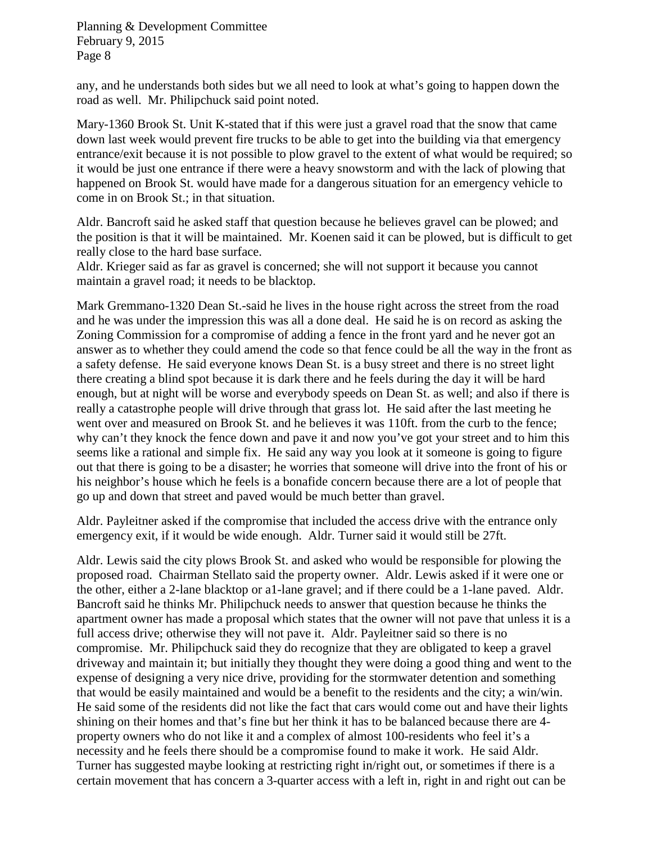any, and he understands both sides but we all need to look at what's going to happen down the road as well. Mr. Philipchuck said point noted.

Mary-1360 Brook St. Unit K-stated that if this were just a gravel road that the snow that came down last week would prevent fire trucks to be able to get into the building via that emergency entrance/exit because it is not possible to plow gravel to the extent of what would be required; so it would be just one entrance if there were a heavy snowstorm and with the lack of plowing that happened on Brook St. would have made for a dangerous situation for an emergency vehicle to come in on Brook St.; in that situation.

Aldr. Bancroft said he asked staff that question because he believes gravel can be plowed; and the position is that it will be maintained. Mr. Koenen said it can be plowed, but is difficult to get really close to the hard base surface.

Aldr. Krieger said as far as gravel is concerned; she will not support it because you cannot maintain a gravel road; it needs to be blacktop.

Mark Gremmano-1320 Dean St.-said he lives in the house right across the street from the road and he was under the impression this was all a done deal. He said he is on record as asking the Zoning Commission for a compromise of adding a fence in the front yard and he never got an answer as to whether they could amend the code so that fence could be all the way in the front as a safety defense. He said everyone knows Dean St. is a busy street and there is no street light there creating a blind spot because it is dark there and he feels during the day it will be hard enough, but at night will be worse and everybody speeds on Dean St. as well; and also if there is really a catastrophe people will drive through that grass lot. He said after the last meeting he went over and measured on Brook St. and he believes it was 110ft. from the curb to the fence; why can't they knock the fence down and pave it and now you've got your street and to him this seems like a rational and simple fix. He said any way you look at it someone is going to figure out that there is going to be a disaster; he worries that someone will drive into the front of his or his neighbor's house which he feels is a bonafide concern because there are a lot of people that go up and down that street and paved would be much better than gravel.

Aldr. Payleitner asked if the compromise that included the access drive with the entrance only emergency exit, if it would be wide enough. Aldr. Turner said it would still be 27ft.

Aldr. Lewis said the city plows Brook St. and asked who would be responsible for plowing the proposed road. Chairman Stellato said the property owner. Aldr. Lewis asked if it were one or the other, either a 2-lane blacktop or a1-lane gravel; and if there could be a 1-lane paved. Aldr. Bancroft said he thinks Mr. Philipchuck needs to answer that question because he thinks the apartment owner has made a proposal which states that the owner will not pave that unless it is a full access drive; otherwise they will not pave it. Aldr. Payleitner said so there is no compromise. Mr. Philipchuck said they do recognize that they are obligated to keep a gravel driveway and maintain it; but initially they thought they were doing a good thing and went to the expense of designing a very nice drive, providing for the stormwater detention and something that would be easily maintained and would be a benefit to the residents and the city; a win/win. He said some of the residents did not like the fact that cars would come out and have their lights shining on their homes and that's fine but her think it has to be balanced because there are 4 property owners who do not like it and a complex of almost 100-residents who feel it's a necessity and he feels there should be a compromise found to make it work. He said Aldr. Turner has suggested maybe looking at restricting right in/right out, or sometimes if there is a certain movement that has concern a 3-quarter access with a left in, right in and right out can be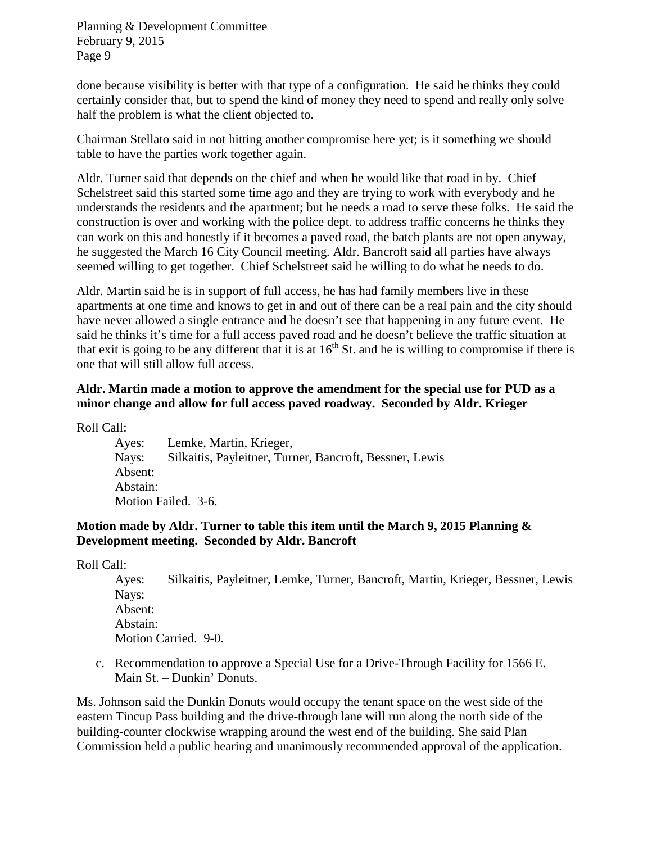done because visibility is better with that type of a configuration. He said he thinks they could certainly consider that, but to spend the kind of money they need to spend and really only solve half the problem is what the client objected to.

Chairman Stellato said in not hitting another compromise here yet; is it something we should table to have the parties work together again.

Aldr. Turner said that depends on the chief and when he would like that road in by. Chief Schelstreet said this started some time ago and they are trying to work with everybody and he understands the residents and the apartment; but he needs a road to serve these folks. He said the construction is over and working with the police dept. to address traffic concerns he thinks they can work on this and honestly if it becomes a paved road, the batch plants are not open anyway, he suggested the March 16 City Council meeting. Aldr. Bancroft said all parties have always seemed willing to get together. Chief Schelstreet said he willing to do what he needs to do.

Aldr. Martin said he is in support of full access, he has had family members live in these apartments at one time and knows to get in and out of there can be a real pain and the city should have never allowed a single entrance and he doesn't see that happening in any future event. He said he thinks it's time for a full access paved road and he doesn't believe the traffic situation at that exit is going to be any different that it is at  $16<sup>th</sup>$  St. and he is willing to compromise if there is one that will still allow full access.

## **Aldr. Martin made a motion to approve the amendment for the special use for PUD as a minor change and allow for full access paved roadway. Seconded by Aldr. Krieger**

Roll Call:

Ayes: Lemke, Martin, Krieger, Nays: Silkaitis, Payleitner, Turner, Bancroft, Bessner, Lewis Absent: Abstain: Motion Failed. 3-6.

### **Motion made by Aldr. Turner to table this item until the March 9, 2015 Planning & Development meeting. Seconded by Aldr. Bancroft**

Roll Call:

Ayes: Silkaitis, Payleitner, Lemke, Turner, Bancroft, Martin, Krieger, Bessner, Lewis Nays: Absent: Abstain: Motion Carried. 9-0.

c. Recommendation to approve a Special Use for a Drive-Through Facility for 1566 E. Main St. – Dunkin' Donuts.

Ms. Johnson said the Dunkin Donuts would occupy the tenant space on the west side of the eastern Tincup Pass building and the drive-through lane will run along the north side of the building-counter clockwise wrapping around the west end of the building. She said Plan Commission held a public hearing and unanimously recommended approval of the application.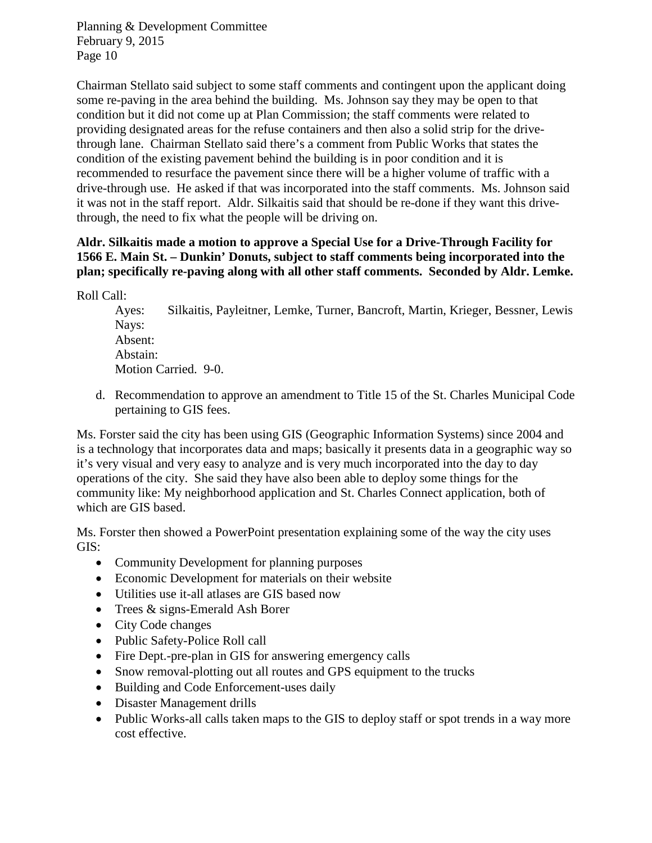Chairman Stellato said subject to some staff comments and contingent upon the applicant doing some re-paving in the area behind the building. Ms. Johnson say they may be open to that condition but it did not come up at Plan Commission; the staff comments were related to providing designated areas for the refuse containers and then also a solid strip for the drivethrough lane. Chairman Stellato said there's a comment from Public Works that states the condition of the existing pavement behind the building is in poor condition and it is recommended to resurface the pavement since there will be a higher volume of traffic with a drive-through use. He asked if that was incorporated into the staff comments. Ms. Johnson said it was not in the staff report. Aldr. Silkaitis said that should be re-done if they want this drivethrough, the need to fix what the people will be driving on.

### **Aldr. Silkaitis made a motion to approve a Special Use for a Drive-Through Facility for 1566 E. Main St. – Dunkin' Donuts, subject to staff comments being incorporated into the plan; specifically re-paving along with all other staff comments. Seconded by Aldr. Lemke.**

Roll Call:

Ayes: Silkaitis, Payleitner, Lemke, Turner, Bancroft, Martin, Krieger, Bessner, Lewis Nays: Absent: Abstain: Motion Carried. 9-0.

d. Recommendation to approve an amendment to Title 15 of the St. Charles Municipal Code pertaining to GIS fees.

Ms. Forster said the city has been using GIS (Geographic Information Systems) since 2004 and is a technology that incorporates data and maps; basically it presents data in a geographic way so it's very visual and very easy to analyze and is very much incorporated into the day to day operations of the city. She said they have also been able to deploy some things for the community like: My neighborhood application and St. Charles Connect application, both of which are GIS based.

Ms. Forster then showed a PowerPoint presentation explaining some of the way the city uses GIS:

- Community Development for planning purposes
- Economic Development for materials on their website
- Utilities use it-all atlases are GIS based now
- Trees & signs-Emerald Ash Borer
- City Code changes
- Public Safety-Police Roll call
- Fire Dept.-pre-plan in GIS for answering emergency calls
- Snow removal-plotting out all routes and GPS equipment to the trucks
- Building and Code Enforcement-uses daily
- Disaster Management drills
- Public Works-all calls taken maps to the GIS to deploy staff or spot trends in a way more cost effective.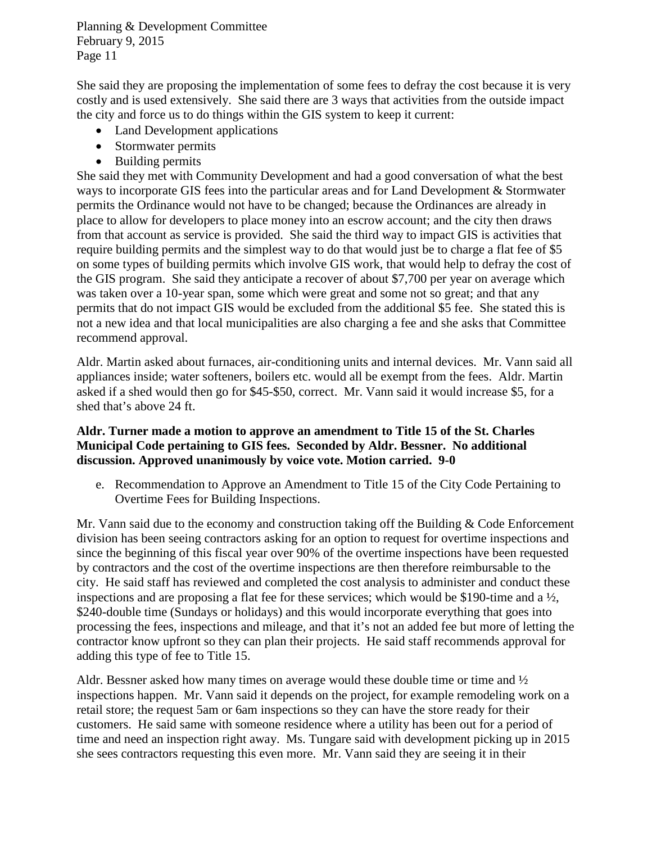She said they are proposing the implementation of some fees to defray the cost because it is very costly and is used extensively. She said there are 3 ways that activities from the outside impact the city and force us to do things within the GIS system to keep it current:

- Land Development applications
- Stormwater permits
- Building permits

She said they met with Community Development and had a good conversation of what the best ways to incorporate GIS fees into the particular areas and for Land Development & Stormwater permits the Ordinance would not have to be changed; because the Ordinances are already in place to allow for developers to place money into an escrow account; and the city then draws from that account as service is provided. She said the third way to impact GIS is activities that require building permits and the simplest way to do that would just be to charge a flat fee of \$5 on some types of building permits which involve GIS work, that would help to defray the cost of the GIS program. She said they anticipate a recover of about \$7,700 per year on average which was taken over a 10-year span, some which were great and some not so great; and that any permits that do not impact GIS would be excluded from the additional \$5 fee. She stated this is not a new idea and that local municipalities are also charging a fee and she asks that Committee recommend approval.

Aldr. Martin asked about furnaces, air-conditioning units and internal devices. Mr. Vann said all appliances inside; water softeners, boilers etc. would all be exempt from the fees. Aldr. Martin asked if a shed would then go for \$45-\$50, correct. Mr. Vann said it would increase \$5, for a shed that's above 24 ft.

#### **Aldr. Turner made a motion to approve an amendment to Title 15 of the St. Charles Municipal Code pertaining to GIS fees. Seconded by Aldr. Bessner. No additional discussion. Approved unanimously by voice vote. Motion carried. 9-0**

e. Recommendation to Approve an Amendment to Title 15 of the City Code Pertaining to Overtime Fees for Building Inspections.

Mr. Vann said due to the economy and construction taking off the Building & Code Enforcement division has been seeing contractors asking for an option to request for overtime inspections and since the beginning of this fiscal year over 90% of the overtime inspections have been requested by contractors and the cost of the overtime inspections are then therefore reimbursable to the city. He said staff has reviewed and completed the cost analysis to administer and conduct these inspections and are proposing a flat fee for these services; which would be \$190-time and a ½, \$240-double time (Sundays or holidays) and this would incorporate everything that goes into processing the fees, inspections and mileage, and that it's not an added fee but more of letting the contractor know upfront so they can plan their projects. He said staff recommends approval for adding this type of fee to Title 15.

Aldr. Bessner asked how many times on average would these double time or time and  $\frac{1}{2}$ inspections happen. Mr. Vann said it depends on the project, for example remodeling work on a retail store; the request 5am or 6am inspections so they can have the store ready for their customers. He said same with someone residence where a utility has been out for a period of time and need an inspection right away. Ms. Tungare said with development picking up in 2015 she sees contractors requesting this even more. Mr. Vann said they are seeing it in their